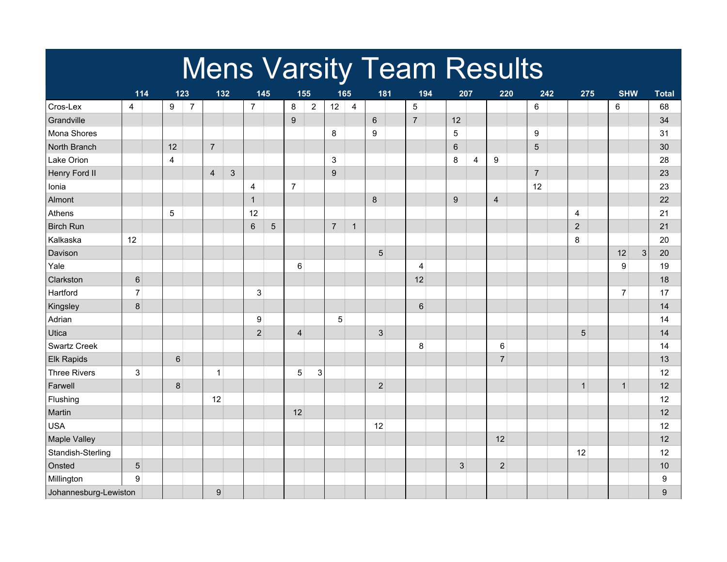|                       |                |     |                 |                |                  |     |                  |     |                |                |                |                |                |     |                |     |                |                | Mens Varsity Team Results |   |                |              |     |                |   |                  |
|-----------------------|----------------|-----|-----------------|----------------|------------------|-----|------------------|-----|----------------|----------------|----------------|----------------|----------------|-----|----------------|-----|----------------|----------------|---------------------------|---|----------------|--------------|-----|----------------|---|------------------|
|                       |                | 114 |                 | 123            |                  | 132 |                  | 145 | 155            |                |                | 165            |                | 181 |                | 194 |                | 207            | 220                       |   | 242            |              | 275 | <b>SHW</b>     |   | <b>Total</b>     |
| Cros-Lex              | $\overline{4}$ |     | 9               | $\overline{7}$ |                  |     | $\overline{7}$   |     | 8              | $\overline{2}$ | 12             | $\overline{4}$ |                |     | 5              |     |                |                |                           | 6 |                |              |     | 6              |   | 68               |
| Grandville            |                |     |                 |                |                  |     |                  |     | 9              |                |                |                | 6              |     | $\overline{7}$ |     | 12             |                |                           |   |                |              |     |                |   | 34               |
| Mona Shores           |                |     |                 |                |                  |     |                  |     |                |                | 8              |                | 9              |     |                |     | 5              |                |                           | 9 |                |              |     |                |   | 31               |
| North Branch          |                |     | 12              |                | $\overline{7}$   |     |                  |     |                |                |                |                |                |     |                |     | $6\phantom{1}$ |                |                           |   | 5              |              |     |                |   | 30               |
| Lake Orion            |                |     | 4               |                |                  |     |                  |     |                |                | 3              |                |                |     |                |     | 8              | $\overline{4}$ | 9                         |   |                |              |     |                |   | 28               |
| Henry Ford II         |                |     |                 |                | $\overline{4}$   | 3   |                  |     |                |                | 9              |                |                |     |                |     |                |                |                           |   | $\overline{7}$ |              |     |                |   | 23               |
| Ionia                 |                |     |                 |                |                  |     | $\overline{4}$   |     | $\overline{7}$ |                |                |                |                |     |                |     |                |                |                           |   | 12             |              |     |                |   | 23               |
| Almont                |                |     |                 |                |                  |     | $\mathbf{1}$     |     |                |                |                |                | 8              |     |                |     | 9              |                | $\overline{4}$            |   |                |              |     |                |   | 22               |
| Athens                |                |     | 5               |                |                  |     | 12               |     |                |                |                |                |                |     |                |     |                |                |                           |   |                | 4            |     |                |   | 21               |
| Birch Run             |                |     |                 |                |                  |     | 6                | 5   |                |                | $\overline{7}$ | $\mathbf{1}$   |                |     |                |     |                |                |                           |   |                | 2            |     |                |   | 21               |
| Kalkaska              | 12             |     |                 |                |                  |     |                  |     |                |                |                |                |                |     |                |     |                |                |                           |   |                | 8            |     |                |   | 20               |
| Davison               |                |     |                 |                |                  |     |                  |     |                |                |                |                | 5              |     |                |     |                |                |                           |   |                |              |     | 12             | 3 | 20               |
| Yale                  |                |     |                 |                |                  |     |                  |     | 6              |                |                |                |                |     | 4              |     |                |                |                           |   |                |              |     | 9              |   | 19               |
| Clarkston             | $6\phantom{a}$ |     |                 |                |                  |     |                  |     |                |                |                |                |                |     | 12             |     |                |                |                           |   |                |              |     |                |   | 18               |
| Hartford              | 7              |     |                 |                |                  |     | 3                |     |                |                |                |                |                |     |                |     |                |                |                           |   |                |              |     | $\overline{7}$ |   | 17               |
| Kingsley              | 8              |     |                 |                |                  |     |                  |     |                |                |                |                |                |     | 6              |     |                |                |                           |   |                |              |     |                |   | 14               |
| Adrian                |                |     |                 |                |                  |     | $\boldsymbol{9}$ |     |                |                | 5              |                |                |     |                |     |                |                |                           |   |                |              |     |                |   | 14               |
| Utica                 |                |     |                 |                |                  |     | $\overline{2}$   |     | $\overline{4}$ |                |                |                | 3              |     |                |     |                |                |                           |   |                | 5            |     |                |   | 14               |
| <b>Swartz Creek</b>   |                |     |                 |                |                  |     |                  |     |                |                |                |                |                |     | 8              |     |                |                | 6                         |   |                |              |     |                |   | 14               |
| Elk Rapids            |                |     | $6\phantom{1}6$ |                |                  |     |                  |     |                |                |                |                |                |     |                |     |                |                | $\overline{7}$            |   |                |              |     |                |   | 13               |
| <b>Three Rivers</b>   | 3              |     |                 |                | $\mathbf{1}$     |     |                  |     | 5              | 3              |                |                |                |     |                |     |                |                |                           |   |                |              |     |                |   | 12               |
| Farwell               |                |     | 8               |                |                  |     |                  |     |                |                |                |                | $\overline{2}$ |     |                |     |                |                |                           |   |                | $\mathbf{1}$ |     | $\mathbf{1}$   |   | 12               |
| Flushing              |                |     |                 |                | 12               |     |                  |     |                |                |                |                |                |     |                |     |                |                |                           |   |                |              |     |                |   | 12               |
| Martin                |                |     |                 |                |                  |     |                  |     | 12             |                |                |                |                |     |                |     |                |                |                           |   |                |              |     |                |   | 12               |
| <b>USA</b>            |                |     |                 |                |                  |     |                  |     |                |                |                |                | 12             |     |                |     |                |                |                           |   |                |              |     |                |   | 12               |
| Maple Valley          |                |     |                 |                |                  |     |                  |     |                |                |                |                |                |     |                |     |                |                | 12                        |   |                |              |     |                |   | 12               |
| Standish-Sterling     |                |     |                 |                |                  |     |                  |     |                |                |                |                |                |     |                |     |                |                |                           |   |                | 12           |     |                |   | 12               |
| Onsted                | $\overline{5}$ |     |                 |                |                  |     |                  |     |                |                |                |                |                |     |                |     | 3              |                | $\overline{2}$            |   |                |              |     |                |   | 10               |
| Millington            | 9              |     |                 |                |                  |     |                  |     |                |                |                |                |                |     |                |     |                |                |                           |   |                |              |     |                |   | 9                |
| Johannesburg-Lewiston |                |     |                 |                | $\boldsymbol{9}$ |     |                  |     |                |                |                |                |                |     |                |     |                |                |                           |   |                |              |     |                |   | $\boldsymbol{9}$ |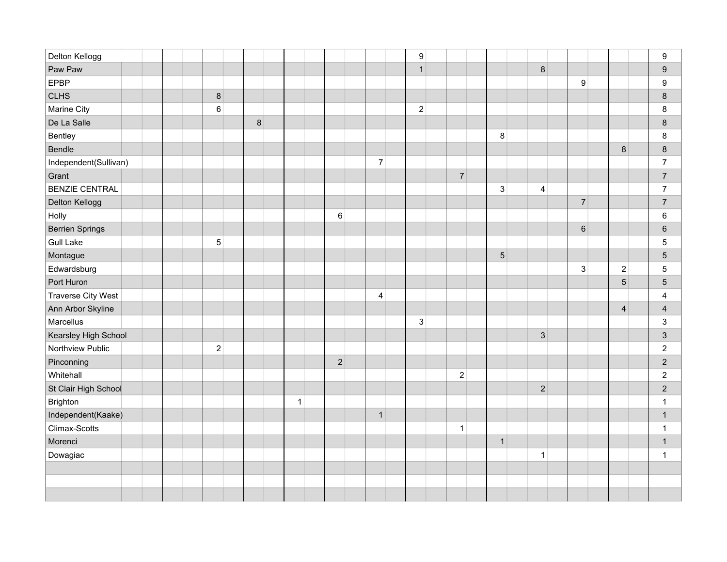| Delton Kellogg        |  |            |         |             |                |                | $\boldsymbol{9}$ |              |                |                |                           |                         | 9              |
|-----------------------|--|------------|---------|-------------|----------------|----------------|------------------|--------------|----------------|----------------|---------------------------|-------------------------|----------------|
| Paw Paw               |  |            |         |             |                |                | $\mathbf{1}$     |              |                | $\bf 8$        |                           |                         | $9\,$          |
| <b>EPBP</b>           |  |            |         |             |                |                |                  |              |                |                | 9                         |                         | 9              |
| <b>CLHS</b>           |  | $\bf 8$    |         |             |                |                |                  |              |                |                |                           |                         | 8              |
| Marine City           |  | $\,6\,$    |         |             |                |                | $\overline{2}$   |              |                |                |                           |                         | 8              |
| De La Salle           |  |            | $\bf 8$ |             |                |                |                  |              |                |                |                           |                         | 8              |
| Bentley               |  |            |         |             |                |                |                  |              | $\bf 8$        |                |                           |                         | 8              |
| Bendle                |  |            |         |             |                |                |                  |              |                |                |                           | $\bf 8$                 | 8              |
| Independent(Sullivan) |  |            |         |             |                | $\overline{7}$ |                  |              |                |                |                           |                         | $\overline{7}$ |
| Grant                 |  |            |         |             |                |                |                  | $\sqrt{7}$   |                |                |                           |                         | $\overline{7}$ |
| <b>BENZIE CENTRAL</b> |  |            |         |             |                |                |                  |              | 3              | 4              |                           |                         | $\overline{7}$ |
| Delton Kellogg        |  |            |         |             |                |                |                  |              |                |                | $\overline{7}$            |                         | $\overline{7}$ |
| Holly                 |  |            |         |             | $\,6\,$        |                |                  |              |                |                |                           |                         | 6              |
| Berrien Springs       |  |            |         |             |                |                |                  |              |                |                | $6\phantom{a}$            |                         | 6              |
| Gull Lake             |  | $\sqrt{5}$ |         |             |                |                |                  |              |                |                |                           |                         | 5              |
| Montague              |  |            |         |             |                |                |                  |              | $\overline{5}$ |                |                           |                         | 5              |
| Edwardsburg           |  |            |         |             |                |                |                  |              |                |                | $\ensuremath{\mathsf{3}}$ | $\boldsymbol{2}$        | 5              |
| Port Huron            |  |            |         |             |                |                |                  |              |                |                |                           | $\overline{5}$          | 5              |
| Traverse City West    |  |            |         |             |                | $\overline{4}$ |                  |              |                |                |                           |                         | 4              |
| Ann Arbor Skyline     |  |            |         |             |                |                |                  |              |                |                |                           | $\overline{\mathbf{4}}$ | 4              |
| Marcellus             |  |            |         |             |                |                | $\mathfrak{S}$   |              |                |                |                           |                         | 3              |
| Kearsley High School  |  |            |         |             |                |                |                  |              |                | $\sqrt{3}$     |                           |                         | 3              |
| Northview Public      |  | $\sqrt{2}$ |         |             |                |                |                  |              |                |                |                           |                         | $\overline{2}$ |
| Pinconning            |  |            |         |             | $\overline{2}$ |                |                  |              |                |                |                           |                         | $\overline{2}$ |
| Whitehall             |  |            |         |             |                |                |                  | $\sqrt{2}$   |                |                |                           |                         | $\overline{2}$ |
| St Clair High School  |  |            |         |             |                |                |                  |              |                | $\overline{2}$ |                           |                         | $\overline{2}$ |
| Brighton              |  |            |         | $\mathbf 1$ |                |                |                  |              |                |                |                           |                         | -1             |
| Independent(Kaake)    |  |            |         |             |                | $\mathbf{1}$   |                  |              |                |                |                           |                         |                |
| Climax-Scotts         |  |            |         |             |                |                |                  | $\mathbf{1}$ |                |                |                           |                         |                |
| Morenci               |  |            |         |             |                |                |                  |              | $\mathbf{1}$   |                |                           |                         | 1              |
| Dowagiac              |  |            |         |             |                |                |                  |              |                | $\mathbf{1}$   |                           |                         | -1             |
|                       |  |            |         |             |                |                |                  |              |                |                |                           |                         |                |
|                       |  |            |         |             |                |                |                  |              |                |                |                           |                         |                |
|                       |  |            |         |             |                |                |                  |              |                |                |                           |                         |                |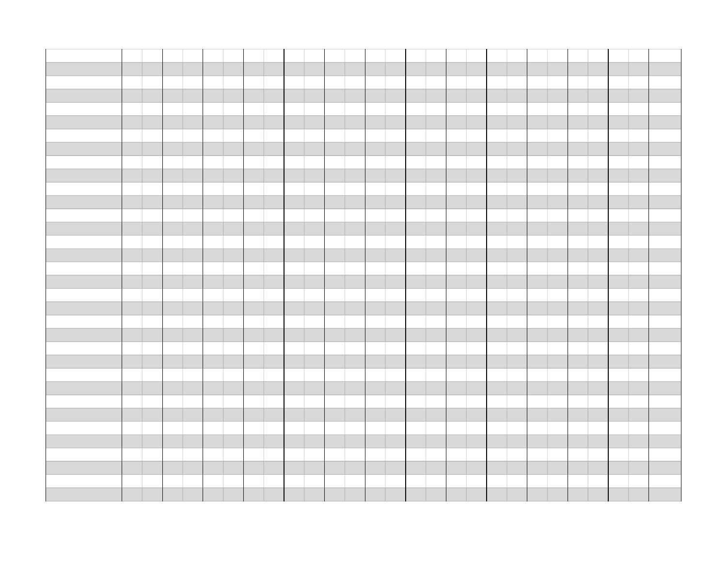| $\blacklozenge$<br>a a Tingga<br>$\mathbb{R}^n$ |
|-------------------------------------------------|
|                                                 |
|                                                 |
|                                                 |
|                                                 |
|                                                 |
|                                                 |
|                                                 |
|                                                 |
|                                                 |
|                                                 |
|                                                 |
|                                                 |
|                                                 |
|                                                 |
|                                                 |
|                                                 |
|                                                 |
|                                                 |
|                                                 |
|                                                 |
|                                                 |
|                                                 |
|                                                 |
|                                                 |
|                                                 |
|                                                 |
|                                                 |
|                                                 |
|                                                 |
|                                                 |
|                                                 |
|                                                 |
|                                                 |
|                                                 |
|                                                 |
|                                                 |
|                                                 |
|                                                 |
|                                                 |
|                                                 |
|                                                 |
|                                                 |
|                                                 |
|                                                 |
|                                                 |
|                                                 |
|                                                 |
|                                                 |
|                                                 |
|                                                 |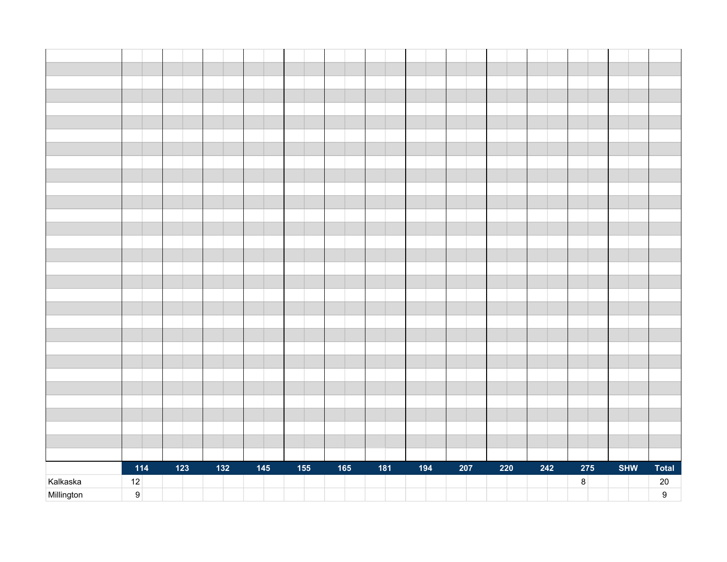|            | 114             | $123$ | 132 | 145 | 155 | 165 | 181 | 194 | 207 | 220 | $242$ | 275     | <b>SHW</b> | <b>Total</b>     |
|------------|-----------------|-------|-----|-----|-----|-----|-----|-----|-----|-----|-------|---------|------------|------------------|
| Kalkaska   | 12              |       |     |     |     |     |     |     |     |     |       | $\bf 8$ |            | $20\,$           |
| Millington | $\vert 9 \vert$ |       |     |     |     |     |     |     |     |     |       |         |            | $\boldsymbol{9}$ |
|            |                 |       |     |     |     |     |     |     |     |     |       |         |            |                  |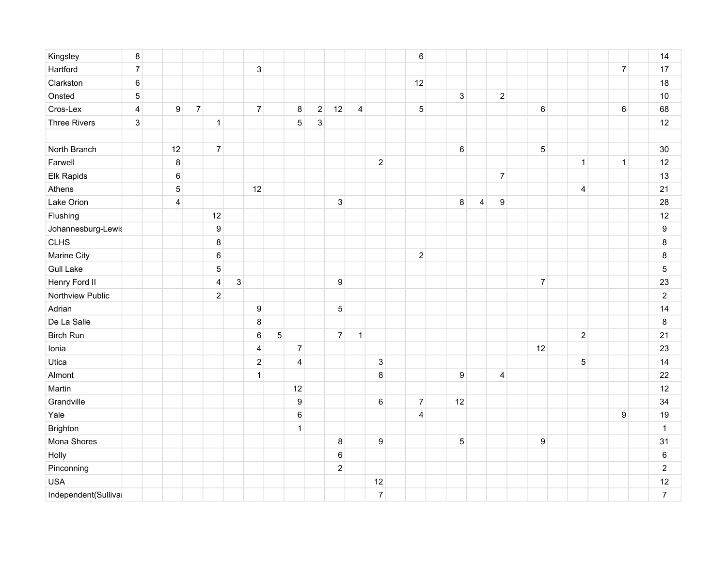| Kingsley             | $\bf 8$                   |                         |                |                         |              |                         |   |                  |                |                           |                         |                           | $\,6\,$                 |                  |                         |                  |                  |                         |                  | 14               |
|----------------------|---------------------------|-------------------------|----------------|-------------------------|--------------|-------------------------|---|------------------|----------------|---------------------------|-------------------------|---------------------------|-------------------------|------------------|-------------------------|------------------|------------------|-------------------------|------------------|------------------|
| Hartford             | $\overline{7}$            |                         |                |                         |              | $\mathsf 3$             |   |                  |                |                           |                         |                           |                         |                  |                         |                  |                  |                         | $\overline{7}$   | 17               |
| Clarkston            | 6                         |                         |                |                         |              |                         |   |                  |                |                           |                         |                           | 12                      |                  |                         |                  |                  |                         |                  | 18               |
| Onsted               | $\sqrt{5}$                |                         |                |                         |              |                         |   |                  |                |                           |                         |                           |                         | 3                |                         | $\overline{c}$   |                  |                         |                  | $10$             |
| Cros-Lex             | 4                         | $\boldsymbol{9}$        | $\overline{7}$ |                         |              | $\overline{7}$          |   | $\bf 8$          | $\overline{2}$ | 12                        | $\overline{\mathbf{4}}$ |                           | $\sqrt{5}$              |                  |                         |                  | $\,6$            |                         | $\,6\,$          | 68               |
| <b>Three Rivers</b>  | $\ensuremath{\mathsf{3}}$ |                         |                | $\mathbf 1$             |              |                         |   | $\,$ 5 $\,$      | $\mathsf 3$    |                           |                         |                           |                         |                  |                         |                  |                  |                         |                  | 12               |
|                      |                           |                         |                |                         |              |                         |   |                  |                |                           |                         |                           |                         |                  |                         |                  |                  |                         |                  |                  |
| North Branch         |                           | 12                      |                | $\overline{7}$          |              |                         |   |                  |                |                           |                         |                           |                         | 6                |                         |                  | 5                |                         |                  | 30               |
| Farwell              |                           | $\bf 8$                 |                |                         |              |                         |   |                  |                |                           |                         | $\mathbf 2$               |                         |                  |                         |                  |                  | $\mathbf{1}$            | $\mathbf{1}$     | 12               |
| Elk Rapids           |                           | $\,6\,$                 |                |                         |              |                         |   |                  |                |                           |                         |                           |                         |                  |                         | $\overline{7}$   |                  |                         |                  | 13               |
| Athens               |                           | $\mathbf 5$             |                |                         |              | 12                      |   |                  |                |                           |                         |                           |                         |                  |                         |                  |                  | $\overline{\mathbf{4}}$ |                  | 21               |
| Lake Orion           |                           | $\overline{\mathbf{4}}$ |                |                         |              |                         |   |                  |                | $\ensuremath{\mathsf{3}}$ |                         |                           |                         | $\bf 8$          | $\overline{\mathbf{4}}$ | $\boldsymbol{9}$ |                  |                         |                  | 28               |
| Flushing             |                           |                         |                | 12                      |              |                         |   |                  |                |                           |                         |                           |                         |                  |                         |                  |                  |                         |                  | 12               |
| Johannesburg-Lewis   |                           |                         |                | $\boldsymbol{9}$        |              |                         |   |                  |                |                           |                         |                           |                         |                  |                         |                  |                  |                         |                  | $\boldsymbol{9}$ |
| <b>CLHS</b>          |                           |                         |                | $\bf 8$                 |              |                         |   |                  |                |                           |                         |                           |                         |                  |                         |                  |                  |                         |                  | 8                |
| Marine City          |                           |                         |                | $\,6\,$                 |              |                         |   |                  |                |                           |                         |                           | $\overline{c}$          |                  |                         |                  |                  |                         |                  | 8                |
| <b>Gull Lake</b>     |                           |                         |                | $\mathbf 5$             |              |                         |   |                  |                |                           |                         |                           |                         |                  |                         |                  |                  |                         |                  | 5                |
| Henry Ford II        |                           |                         |                | $\overline{\mathbf{4}}$ | $\mathbf{3}$ |                         |   |                  |                | $\boldsymbol{9}$          |                         |                           |                         |                  |                         |                  | $\overline{7}$   |                         |                  | 23               |
| Northview Public     |                           |                         |                | $\sqrt{2}$              |              |                         |   |                  |                |                           |                         |                           |                         |                  |                         |                  |                  |                         |                  | $\overline{2}$   |
| Adrian               |                           |                         |                |                         |              | $\boldsymbol{9}$        |   |                  |                | $\mathbf 5$               |                         |                           |                         |                  |                         |                  |                  |                         |                  | 14               |
| De La Salle          |                           |                         |                |                         |              | $\bf 8$                 |   |                  |                |                           |                         |                           |                         |                  |                         |                  |                  |                         |                  | $\bf 8$          |
| <b>Birch Run</b>     |                           |                         |                |                         |              | $\,6\,$                 | 5 |                  |                | $\overline{7}$            | $\mathbf{1}$            |                           |                         |                  |                         |                  |                  | $\sqrt{2}$              |                  | 21               |
| Ionia                |                           |                         |                |                         |              | $\overline{\mathbf{4}}$ |   | $\boldsymbol{7}$ |                |                           |                         |                           |                         |                  |                         |                  | 12               |                         |                  | 23               |
| Utica                |                           |                         |                |                         |              | $\sqrt{2}$              |   | 4                |                |                           |                         | $\ensuremath{\mathsf{3}}$ |                         |                  |                         |                  |                  | $\sqrt{5}$              |                  | 14               |
| Almont               |                           |                         |                |                         |              | $\mathbf{1}$            |   |                  |                |                           |                         | $\bf 8$                   |                         | $\boldsymbol{9}$ |                         | 4                |                  |                         |                  | 22               |
| Martin               |                           |                         |                |                         |              |                         |   | 12               |                |                           |                         |                           |                         |                  |                         |                  |                  |                         |                  | 12               |
| Grandville           |                           |                         |                |                         |              |                         |   | $\boldsymbol{9}$ |                |                           |                         | $\,6\,$                   | $\boldsymbol{7}$        | 12               |                         |                  |                  |                         |                  | 34               |
| Yale                 |                           |                         |                |                         |              |                         |   | $\,6\,$          |                |                           |                         |                           | $\overline{\mathbf{4}}$ |                  |                         |                  |                  |                         | $\boldsymbol{9}$ | 19               |
| Brighton             |                           |                         |                |                         |              |                         |   | $\mathbf 1$      |                |                           |                         |                           |                         |                  |                         |                  |                  |                         |                  | $\mathbf{1}$     |
| Mona Shores          |                           |                         |                |                         |              |                         |   |                  |                | $\bf 8$                   |                         | $\boldsymbol{9}$          |                         | 5                |                         |                  | $\boldsymbol{9}$ |                         |                  | 31               |
| Holly                |                           |                         |                |                         |              |                         |   |                  |                | $\,6\,$                   |                         |                           |                         |                  |                         |                  |                  |                         |                  | $\,6\,$          |
| Pinconning           |                           |                         |                |                         |              |                         |   |                  |                | $\sqrt{2}$                |                         |                           |                         |                  |                         |                  |                  |                         |                  | $\overline{2}$   |
| <b>USA</b>           |                           |                         |                |                         |              |                         |   |                  |                |                           |                         | 12                        |                         |                  |                         |                  |                  |                         |                  | 12               |
| Independent(Sullival |                           |                         |                |                         |              |                         |   |                  |                |                           |                         | $\overline{7}$            |                         |                  |                         |                  |                  |                         |                  | $\overline{7}$   |